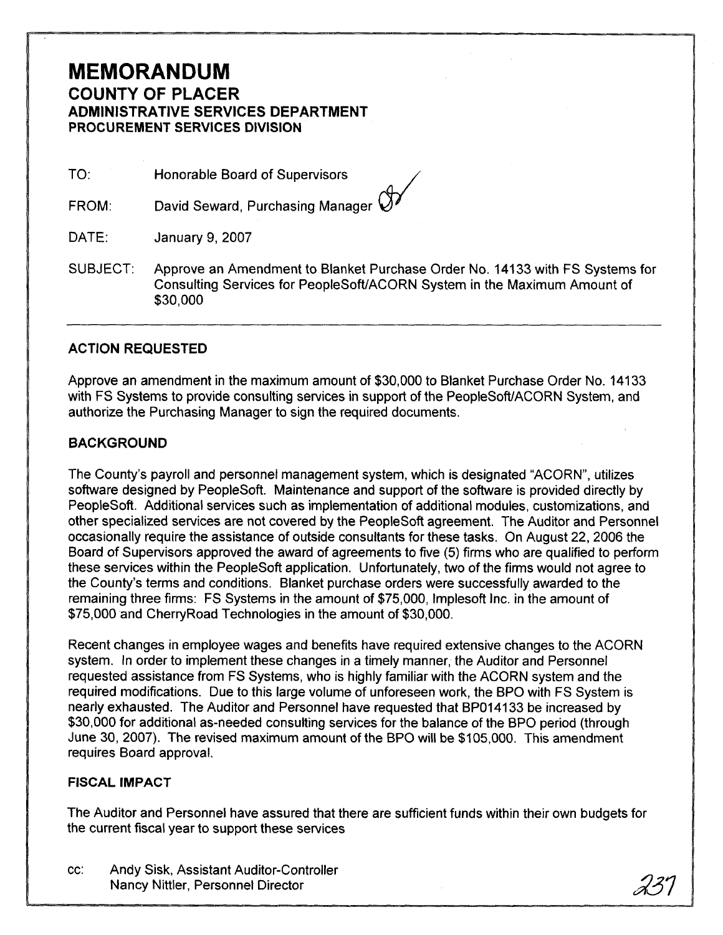## **MEMORANDUM COUNTY OF PLACER ADMINISTRATIVE SERVICES DEPARTMENT**  PROCUREMENT SERVICES DIVISION

TO: Honorable Board of Supervisors

David Seward, Purchasing Manager  $\mathcal Q$ FROM:

DATE: January 9,2007

SUBJECT: Approve an Amendment to Blanket Purchase Order No. 14133 with FS Systems for Consulting Services for PeopleSofffACORN System in the Maximum Amount of \$30,000

## **ACTION REQUESTED**

Approve an amendment in the maximum amount of \$30,000 to Blanket Purchase Order No. 14133 with FS Systems to provide consulting services in support of the PeopleSoft/ACORN System, and authorize the Purchasing Manager to sign the required documents.

## **BACKGROUND**

The County's payroll and personnel management system, which is designated "ACORN", utilizes software designed by PeopleSoft. Maintenance and support of the software is provided directly by PeopleSoft. Additional services such as implementation of additional modules, customizations, and other specialized services are not covered by the PeopleSoft agreement. The Auditor and Personnel occasionally require the assistance of outside consultants for these tasks. On August 22, 2006 the Board of Supervisors approved the award of agreements to five **(5)** firms who are qualified to perform these services within the PeopleSoft application. Unfortunately, two of the firms would not agree to the County's terms and conditions. Blanket purchase orders were successfully awarded to the remaining three firms: FS Systems in the amount of \$75,000, lmplesoft Inc. in the amount of \$75,000 and CherryRoad Technologies in the amount of \$30,000.

Recent changes in employee wages and benefits have required extensive changes to the ACORN system. In order to implement these changes in a timely manner, the Auditor and Personnel requested assistance from FS Systems, who is highly familiar with the ACORN system and the required modifications. Due to this large volume of unforeseen work, the BPO with FS System is nearly exhausted. The Auditor and Personnel have requested that BP014133 be increased by \$30,000 for additional as-needed consulting services for the balance of the BPO period (through June 30, 2007). The revised maximum amount of the BPO will be \$1 05,000. This amendment requires Board approval.

## **FISCAL IMPACT**

The Auditor and Personnel have assured that there are sufficient funds within their own budgets for the current fiscal year to support these services

cc: Andy Sisk, Assistant Auditor-Controller Nancy Nittler, Personnel Director